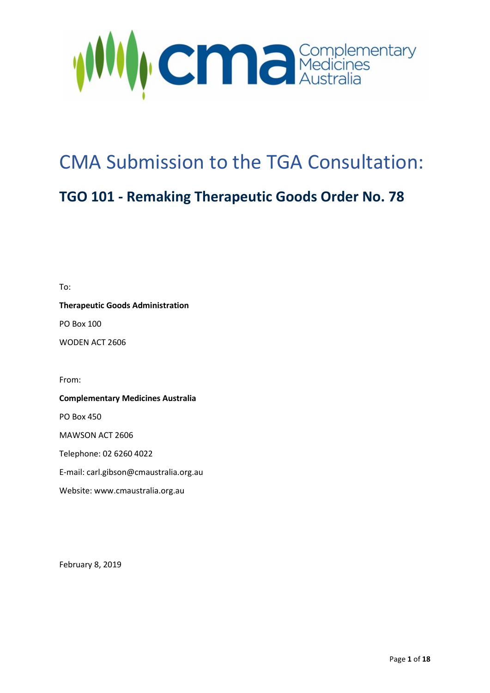

## CMA Submission to the TGA Consultation:

## **TGO 101 - Remaking Therapeutic Goods Order No. 78**

To:

**Therapeutic Goods Administration**

PO Box 100

WODEN ACT 2606

From:

**Complementary Medicines Australia**  PO Box 450 MAWSON ACT 2606 Telephone: 02 6260 4022 E-mail: carl.gibson@cmaustralia.org.au Website: www.cmaustralia.org.au

February 8, 2019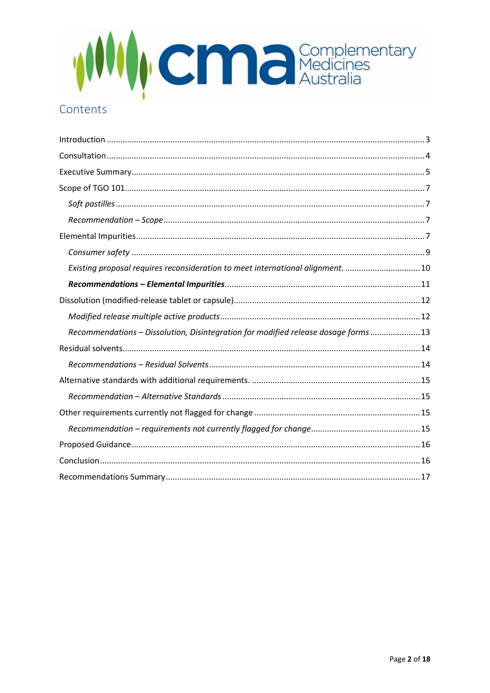

## Contents

| Existing proposal requires reconsideration to meet international alignment. 10     |
|------------------------------------------------------------------------------------|
|                                                                                    |
|                                                                                    |
|                                                                                    |
| Recommendations - Dissolution, Disintegration for modified release dosage forms 13 |
|                                                                                    |
|                                                                                    |
|                                                                                    |
|                                                                                    |
|                                                                                    |
|                                                                                    |
|                                                                                    |
|                                                                                    |
|                                                                                    |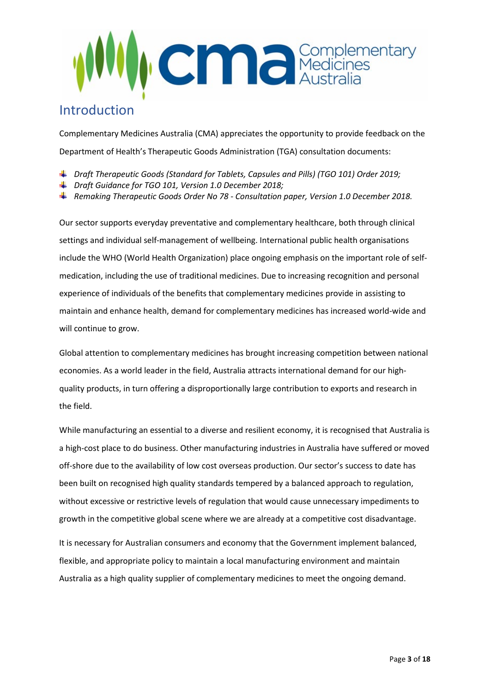

## <span id="page-2-0"></span>Introduction

Complementary Medicines Australia (CMA) appreciates the opportunity to provide feedback on the Department of Health's Therapeutic Goods Administration (TGA) consultation documents:

- *Draft Therapeutic Goods (Standard for Tablets, Capsules and Pills) (TGO 101) Order 2019;*
- *Draft Guidance for TGO 101, Version 1.0 December 2018;*
- *Remaking Therapeutic Goods Order No 78 - Consultation paper, Version 1.0 December 2018.*

Our sector supports everyday preventative and complementary healthcare, both through clinical settings and individual self-management of wellbeing. International public health organisations include the WHO (World Health Organization) place ongoing emphasis on the important role of selfmedication, including the use of traditional medicines. Due to increasing recognition and personal experience of individuals of the benefits that complementary medicines provide in assisting to maintain and enhance health, demand for complementary medicines has increased world-wide and will continue to grow.

Global attention to complementary medicines has brought increasing competition between national economies. As a world leader in the field, Australia attracts international demand for our highquality products, in turn offering a disproportionally large contribution to exports and research in the field.

While manufacturing an essential to a diverse and resilient economy, it is recognised that Australia is a high-cost place to do business. Other manufacturing industries in Australia have suffered or moved off-shore due to the availability of low cost overseas production. Our sector's success to date has been built on recognised high quality standards tempered by a balanced approach to regulation, without excessive or restrictive levels of regulation that would cause unnecessary impediments to growth in the competitive global scene where we are already at a competitive cost disadvantage.

It is necessary for Australian consumers and economy that the Government implement balanced, flexible, and appropriate policy to maintain a local manufacturing environment and maintain Australia as a high quality supplier of complementary medicines to meet the ongoing demand.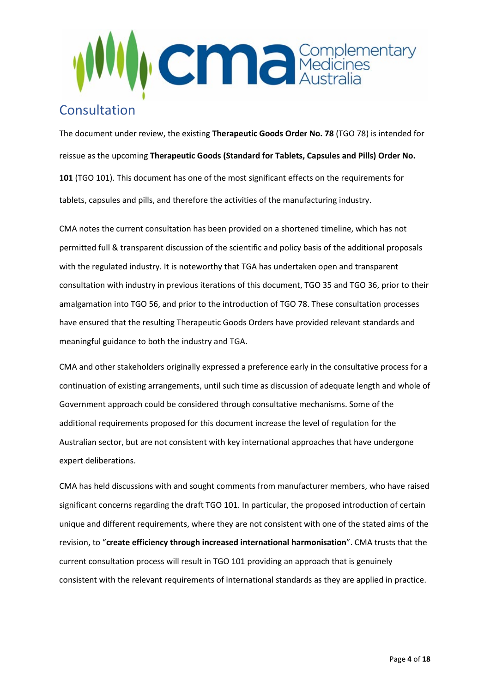

## <span id="page-3-0"></span>Consultation

The document under review, the existing **Therapeutic Goods Order No. 78** (TGO 78) is intended for reissue as the upcoming **Therapeutic Goods (Standard for Tablets, Capsules and Pills) Order No. 101** (TGO 101). This document has one of the most significant effects on the requirements for tablets, capsules and pills, and therefore the activities of the manufacturing industry.

CMA notes the current consultation has been provided on a shortened timeline, which has not permitted full & transparent discussion of the scientific and policy basis of the additional proposals with the regulated industry. It is noteworthy that TGA has undertaken open and transparent consultation with industry in previous iterations of this document, TGO 35 and TGO 36, prior to their amalgamation into TGO 56, and prior to the introduction of TGO 78. These consultation processes have ensured that the resulting Therapeutic Goods Orders have provided relevant standards and meaningful guidance to both the industry and TGA.

CMA and other stakeholders originally expressed a preference early in the consultative process for a continuation of existing arrangements, until such time as discussion of adequate length and whole of Government approach could be considered through consultative mechanisms. Some of the additional requirements proposed for this document increase the level of regulation for the Australian sector, but are not consistent with key international approaches that have undergone expert deliberations.

CMA has held discussions with and sought comments from manufacturer members, who have raised significant concerns regarding the draft TGO 101. In particular, the proposed introduction of certain unique and different requirements, where they are not consistent with one of the stated aims of the revision, to "**create efficiency through increased international harmonisation**". CMA trusts that the current consultation process will result in TGO 101 providing an approach that is genuinely consistent with the relevant requirements of international standards as they are applied in practice.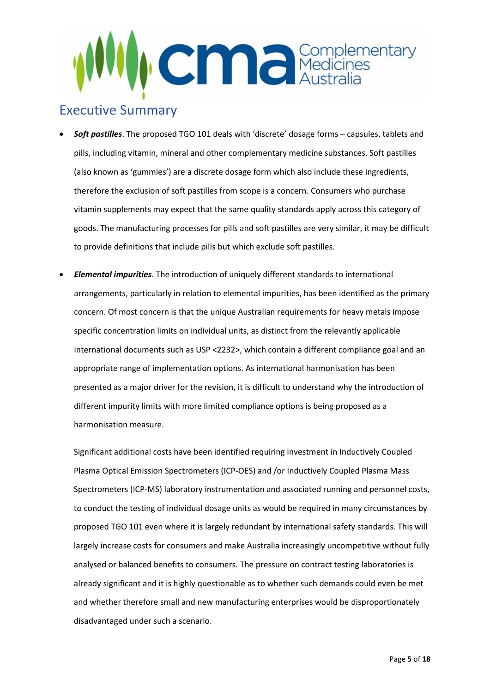

## <span id="page-4-0"></span>Executive Summary

- *Soft pastilles*. The proposed TGO 101 deals with 'discrete' dosage forms capsules, tablets and pills, including vitamin, mineral and other complementary medicine substances. Soft pastilles (also known as 'gummies') are a discrete dosage form which also include these ingredients, therefore the exclusion of soft pastilles from scope is a concern. Consumers who purchase vitamin supplements may expect that the same quality standards apply across this category of goods. The manufacturing processes for pills and soft pastilles are very similar, it may be difficult to provide definitions that include pills but which exclude soft pastilles.
- *Elemental impurities*. The introduction of uniquely different standards to international arrangements, particularly in relation to elemental impurities, has been identified as the primary concern. Of most concern is that the unique Australian requirements for heavy metals impose specific concentration limits on individual units, as distinct from the relevantly applicable international documents such as USP <2232>, which contain a different compliance goal and an appropriate range of implementation options. As international harmonisation has been presented as a major driver for the revision, it is difficult to understand why the introduction of different impurity limits with more limited compliance options is being proposed as a harmonisation measure.

Significant additional costs have been identified requiring investment in Inductively Coupled Plasma Optical Emission Spectrometers (ICP-OES) and /or Inductively Coupled Plasma Mass Spectrometers (ICP-MS) laboratory instrumentation and associated running and personnel costs, to conduct the testing of individual dosage units as would be required in many circumstances by proposed TGO 101 even where it is largely redundant by international safety standards. This will largely increase costs for consumers and make Australia increasingly uncompetitive without fully analysed or balanced benefits to consumers. The pressure on contract testing laboratories is already significant and it is highly questionable as to whether such demands could even be met and whether therefore small and new manufacturing enterprises would be disproportionately disadvantaged under such a scenario.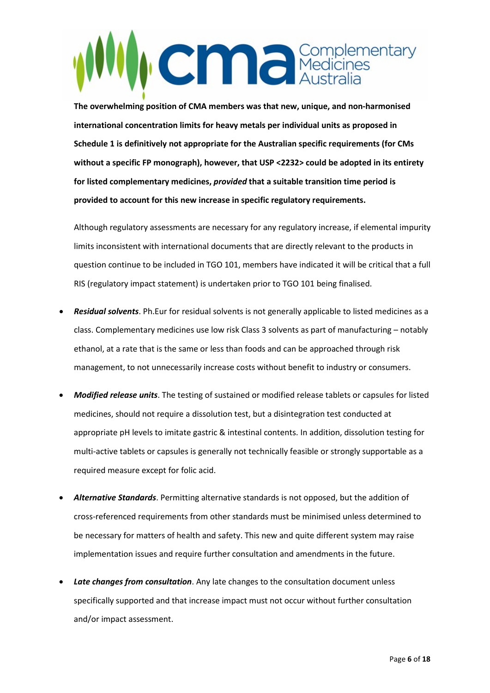## **CMC** Medicines

**The overwhelming position of CMA members was that new, unique, and non-harmonised international concentration limits for heavy metals per individual units as proposed in Schedule 1 is definitively not appropriate for the Australian specific requirements (for CMs without a specific FP monograph), however, that USP <2232> could be adopted in its entirety for listed complementary medicines,** *provided* **that a suitable transition time period is provided to account for this new increase in specific regulatory requirements.**

Although regulatory assessments are necessary for any regulatory increase, if elemental impurity limits inconsistent with international documents that are directly relevant to the products in question continue to be included in TGO 101, members have indicated it will be critical that a full RIS (regulatory impact statement) is undertaken prior to TGO 101 being finalised.

- *Residual solvents*. Ph.Eur for residual solvents is not generally applicable to listed medicines as a class. Complementary medicines use low risk Class 3 solvents as part of manufacturing – notably ethanol, at a rate that is the same or less than foods and can be approached through risk management, to not unnecessarily increase costs without benefit to industry or consumers.
- *Modified release units*. The testing of sustained or modified release tablets or capsules for listed medicines, should not require a dissolution test, but a disintegration test conducted at appropriate pH levels to imitate gastric & intestinal contents. In addition, dissolution testing for multi-active tablets or capsules is generally not technically feasible or strongly supportable as a required measure except for folic acid.
- *Alternative Standards*. Permitting alternative standards is not opposed, but the addition of cross-referenced requirements from other standards must be minimised unless determined to be necessary for matters of health and safety. This new and quite different system may raise implementation issues and require further consultation and amendments in the future.
- *Late changes from consultation*. Any late changes to the consultation document unless specifically supported and that increase impact must not occur without further consultation and/or impact assessment.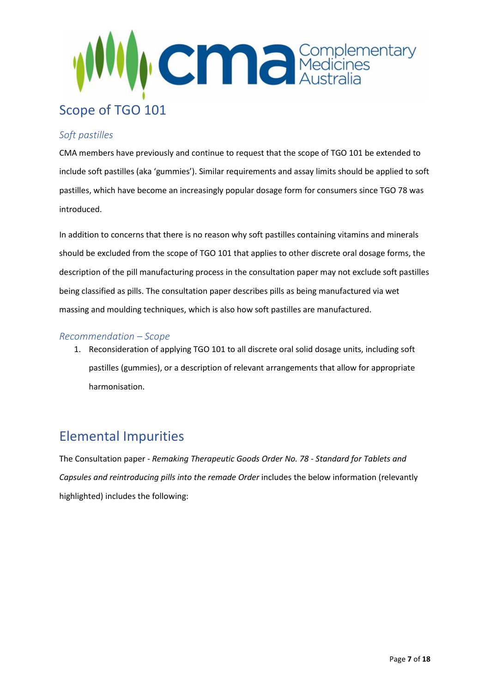

### <span id="page-6-1"></span><span id="page-6-0"></span>*Soft pastilles*

CMA members have previously and continue to request that the scope of TGO 101 be extended to include soft pastilles (aka 'gummies'). Similar requirements and assay limits should be applied to soft pastilles, which have become an increasingly popular dosage form for consumers since TGO 78 was introduced.

In addition to concerns that there is no reason why soft pastilles containing vitamins and minerals should be excluded from the scope of TGO 101 that applies to other discrete oral dosage forms, the description of the pill manufacturing process in the consultation paper may not exclude soft pastilles being classified as pills. The consultation paper describes pills as being manufactured via wet massing and moulding techniques, which is also how soft pastilles are manufactured.

#### <span id="page-6-2"></span>*Recommendation – Scope*

1. Reconsideration of applying TGO 101 to all discrete oral solid dosage units, including soft pastilles (gummies), or a description of relevant arrangements that allow for appropriate harmonisation.

## <span id="page-6-3"></span>Elemental Impurities

The Consultation paper - *Remaking Therapeutic Goods Order No. 78 - Standard for Tablets and Capsules and reintroducing pills into the remade Order* includes the below information (relevantly highlighted) includes the following: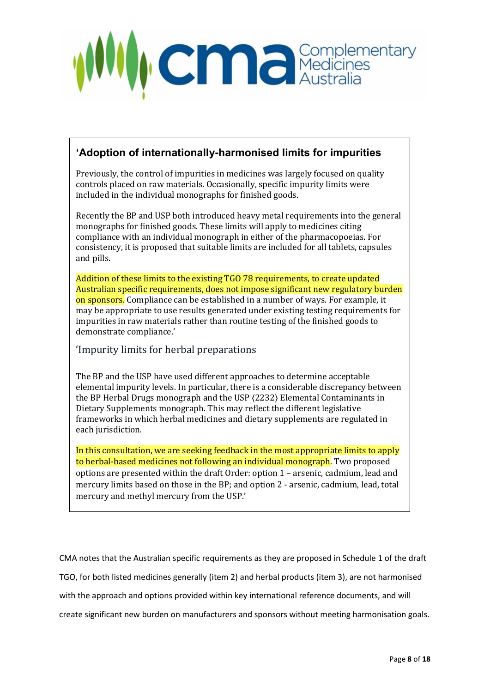

## **'Adoption of internationally-harmonised limits for impurities**

Previously, the control of impurities in medicines was largely focused on quality controls placed on raw materials. Occasionally, specific impurity limits were included in the individual monographs for finished goods.

Recently the BP and USP both introduced heavy metal requirements into the general monographs for finished goods. These limits will apply to medicines citing compliance with an individual monograph in either of the pharmacopoeias. For consistency, it is proposed that suitable limits are included for all tablets, capsules and pills.

Addition of these limits to the existing TGO 78 requirements, to create updated Australian specific requirements, does not impose significant new regulatory burden on sponsors. Compliance can be established in a number of ways. For example, it may be appropriate to use results generated under existing testing requirements for impurities in raw materials rather than routine testing of the finished goods to demonstrate compliance.'

## 'Impurity limits for herbal preparations

The BP and the USP have used different approaches to determine acceptable elemental impurity levels. In particular, there is a considerable discrepancy between the BP Herbal Drugs monograph and the USP 〈2232〉 Elemental Contaminants in Dietary Supplements monograph. This may reflect the different legislative frameworks in which herbal medicines and dietary supplements are regulated in each jurisdiction.

In this consultation, we are seeking feedback in the most appropriate limits to apply to herbal-based medicines not following an individual monograph. Two proposed options are presented within the draft Order: option 1 – arsenic, cadmium, lead and mercury limits based on those in the BP; and option 2 - arsenic, cadmium, lead, total mercury and methyl mercury from the USP.'

CMA notes that the Australian specific requirements as they are proposed in Schedule 1 of the draft TGO, for both listed medicines generally (item 2) and herbal products (item 3), are not harmonised with the approach and options provided within key international reference documents, and will create significant new burden on manufacturers and sponsors without meeting harmonisation goals.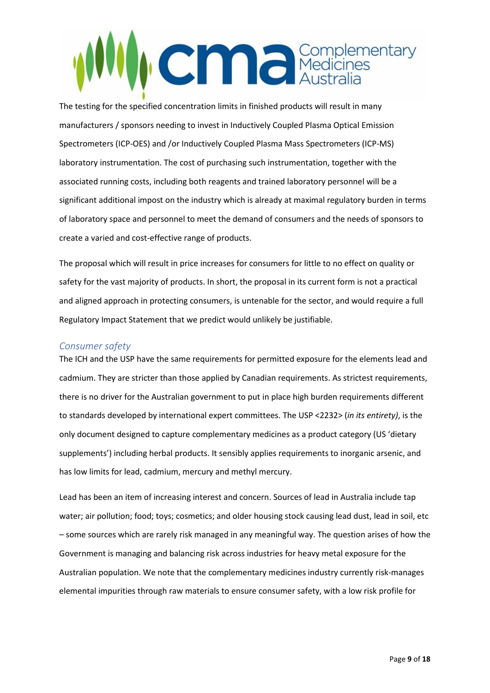# **CMC** Medicines

The testing for the specified concentration limits in finished products will result in many manufacturers / sponsors needing to invest in Inductively Coupled Plasma Optical Emission Spectrometers (ICP-OES) and /or Inductively Coupled Plasma Mass Spectrometers (ICP-MS) laboratory instrumentation. The cost of purchasing such instrumentation, together with the associated running costs, including both reagents and trained laboratory personnel will be a significant additional impost on the industry which is already at maximal regulatory burden in terms of laboratory space and personnel to meet the demand of consumers and the needs of sponsors to create a varied and cost-effective range of products.

The proposal which will result in price increases for consumers for little to no effect on quality or safety for the vast majority of products. In short, the proposal in its current form is not a practical and aligned approach in protecting consumers, is untenable for the sector, and would require a full Regulatory Impact Statement that we predict would unlikely be justifiable.

#### <span id="page-8-0"></span>*Consumer safety*

The ICH and the USP have the same requirements for permitted exposure for the elements lead and cadmium. They are stricter than those applied by Canadian requirements. As strictest requirements, there is no driver for the Australian government to put in place high burden requirements different to standards developed by international expert committees. The USP <2232> (*in its entirety)*, is the only document designed to capture complementary medicines as a product category (US 'dietary supplements') including herbal products. It sensibly applies requirements to inorganic arsenic, and has low limits for lead, cadmium, mercury and methyl mercury.

Lead has been an item of increasing interest and concern. Sources of lead in Australia include tap water; air pollution; food; toys; cosmetics; and older housing stock causing lead dust, lead in soil, etc – some sources which are rarely risk managed in any meaningful way. The question arises of how the Government is managing and balancing risk across industries for heavy metal exposure for the Australian population. We note that the complementary medicines industry currently risk-manages elemental impurities through raw materials to ensure consumer safety, with a low risk profile for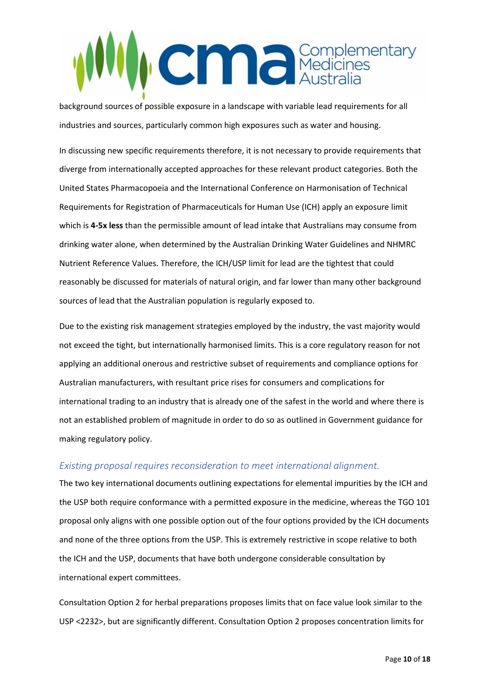# **CMC** Medicines

background sources of possible exposure in a landscape with variable lead requirements for all industries and sources, particularly common high exposures such as water and housing.

In discussing new specific requirements therefore, it is not necessary to provide requirements that diverge from internationally accepted approaches for these relevant product categories. Both the United States Pharmacopoeia and the International Conference on Harmonisation of Technical Requirements for Registration of Pharmaceuticals for Human Use (ICH) apply an exposure limit which is **4-5x less** than the permissible amount of lead intake that Australians may consume from drinking water alone, when determined by the Australian Drinking Water Guidelines and NHMRC Nutrient Reference Values. Therefore, the ICH/USP limit for lead are the tightest that could reasonably be discussed for materials of natural origin, and far lower than many other background sources of lead that the Australian population is regularly exposed to.

Due to the existing risk management strategies employed by the industry, the vast majority would not exceed the tight, but internationally harmonised limits. This is a core regulatory reason for not applying an additional onerous and restrictive subset of requirements and compliance options for Australian manufacturers, with resultant price rises for consumers and complications for international trading to an industry that is already one of the safest in the world and where there is not an established problem of magnitude in order to do so as outlined in Government guidance for making regulatory policy.

### <span id="page-9-0"></span>*Existing proposal requires reconsideration to meet international alignment.*

The two key international documents outlining expectations for elemental impurities by the ICH and the USP both require conformance with a permitted exposure in the medicine, whereas the TGO 101 proposal only aligns with one possible option out of the four options provided by the ICH documents and none of the three options from the USP. This is extremely restrictive in scope relative to both the ICH and the USP, documents that have both undergone considerable consultation by international expert committees.

Consultation Option 2 for herbal preparations proposes limits that on face value look similar to the USP <2232>, but are significantly different. Consultation Option 2 proposes concentration limits for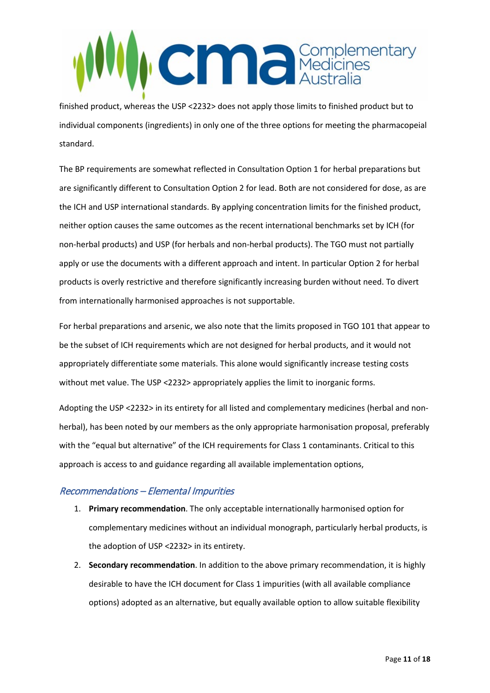

finished product, whereas the USP <2232> does not apply those limits to finished product but to individual components (ingredients) in only one of the three options for meeting the pharmacopeial standard.

The BP requirements are somewhat reflected in Consultation Option 1 for herbal preparations but are significantly different to Consultation Option 2 for lead. Both are not considered for dose, as are the ICH and USP international standards. By applying concentration limits for the finished product, neither option causes the same outcomes as the recent international benchmarks set by ICH (for non-herbal products) and USP (for herbals and non-herbal products). The TGO must not partially apply or use the documents with a different approach and intent. In particular Option 2 for herbal products is overly restrictive and therefore significantly increasing burden without need. To divert from internationally harmonised approaches is not supportable.

For herbal preparations and arsenic, we also note that the limits proposed in TGO 101 that appear to be the subset of ICH requirements which are not designed for herbal products, and it would not appropriately differentiate some materials. This alone would significantly increase testing costs without met value. The USP <2232> appropriately applies the limit to inorganic forms.

Adopting the USP <2232> in its entirety for all listed and complementary medicines (herbal and nonherbal), has been noted by our members as the only appropriate harmonisation proposal, preferably with the "equal but alternative" of the ICH requirements for Class 1 contaminants. Critical to this approach is access to and guidance regarding all available implementation options,

### <span id="page-10-0"></span>Recommendations – Elemental Impurities

- 1. **Primary recommendation**. The only acceptable internationally harmonised option for complementary medicines without an individual monograph, particularly herbal products, is the adoption of USP <2232> in its entirety.
- 2. **Secondary recommendation**. In addition to the above primary recommendation, it is highly desirable to have the ICH document for Class 1 impurities (with all available compliance options) adopted as an alternative, but equally available option to allow suitable flexibility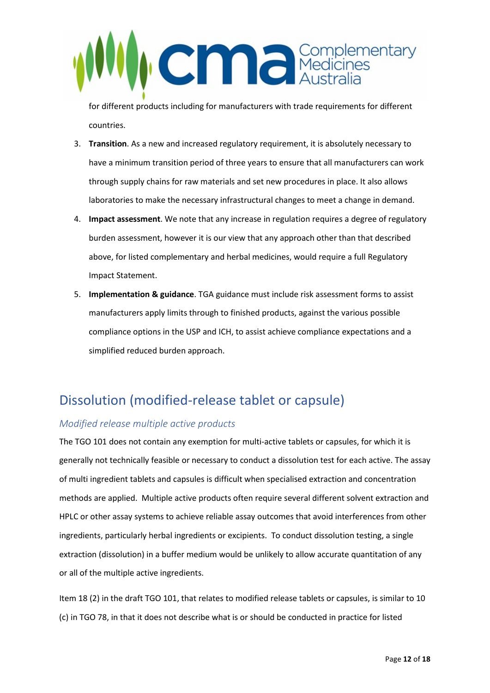

for different products including for manufacturers with trade requirements for different countries.

- 3. **Transition**. As a new and increased regulatory requirement, it is absolutely necessary to have a minimum transition period of three years to ensure that all manufacturers can work through supply chains for raw materials and set new procedures in place. It also allows laboratories to make the necessary infrastructural changes to meet a change in demand.
- 4. **Impact assessment**. We note that any increase in regulation requires a degree of regulatory burden assessment, however it is our view that any approach other than that described above, for listed complementary and herbal medicines, would require a full Regulatory Impact Statement.
- 5. **Implementation & guidance**. TGA guidance must include risk assessment forms to assist manufacturers apply limits through to finished products, against the various possible compliance options in the USP and ICH, to assist achieve compliance expectations and a simplified reduced burden approach.

## <span id="page-11-0"></span>Dissolution (modified-release tablet or capsule)

### <span id="page-11-1"></span>*Modified release multiple active products*

The TGO 101 does not contain any exemption for multi-active tablets or capsules, for which it is generally not technically feasible or necessary to conduct a dissolution test for each active. The assay of multi ingredient tablets and capsules is difficult when specialised extraction and concentration methods are applied. Multiple active products often require several different solvent extraction and HPLC or other assay systems to achieve reliable assay outcomes that avoid interferences from other ingredients, particularly herbal ingredients or excipients. To conduct dissolution testing, a single extraction (dissolution) in a buffer medium would be unlikely to allow accurate quantitation of any or all of the multiple active ingredients.

Item 18 (2) in the draft TGO 101, that relates to modified release tablets or capsules, is similar to 10 (c) in TGO 78, in that it does not describe what is or should be conducted in practice for listed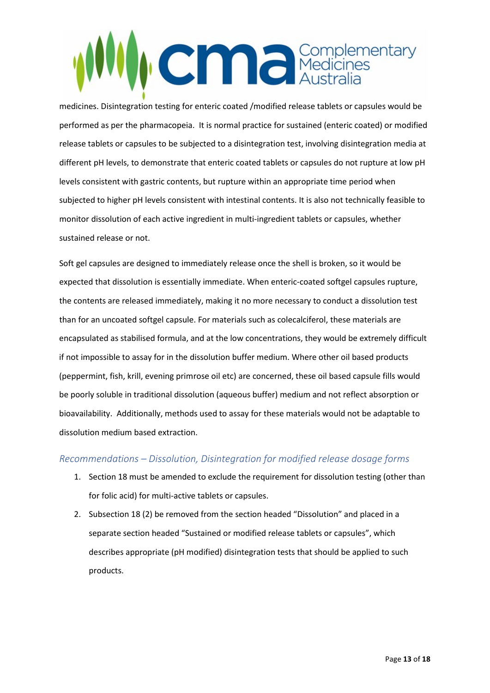# **CENTER Australia**

medicines. Disintegration testing for enteric coated /modified release tablets or capsules would be performed as per the pharmacopeia. It is normal practice for sustained (enteric coated) or modified release tablets or capsules to be subjected to a disintegration test, involving disintegration media at different pH levels, to demonstrate that enteric coated tablets or capsules do not rupture at low pH levels consistent with gastric contents, but rupture within an appropriate time period when subjected to higher pH levels consistent with intestinal contents. It is also not technically feasible to monitor dissolution of each active ingredient in multi-ingredient tablets or capsules, whether sustained release or not.

Soft gel capsules are designed to immediately release once the shell is broken, so it would be expected that dissolution is essentially immediate. When enteric-coated softgel capsules rupture, the contents are released immediately, making it no more necessary to conduct a dissolution test than for an uncoated softgel capsule. For materials such as colecalciferol, these materials are encapsulated as stabilised formula, and at the low concentrations, they would be extremely difficult if not impossible to assay for in the dissolution buffer medium. Where other oil based products (peppermint, fish, krill, evening primrose oil etc) are concerned, these oil based capsule fills would be poorly soluble in traditional dissolution (aqueous buffer) medium and not reflect absorption or bioavailability. Additionally, methods used to assay for these materials would not be adaptable to dissolution medium based extraction.

### <span id="page-12-0"></span>*Recommendations – Dissolution, Disintegration for modified release dosage forms*

- 1. Section 18 must be amended to exclude the requirement for dissolution testing (other than for folic acid) for multi-active tablets or capsules.
- 2. Subsection 18 (2) be removed from the section headed "Dissolution" and placed in a separate section headed "Sustained or modified release tablets or capsules", which describes appropriate (pH modified) disintegration tests that should be applied to such products.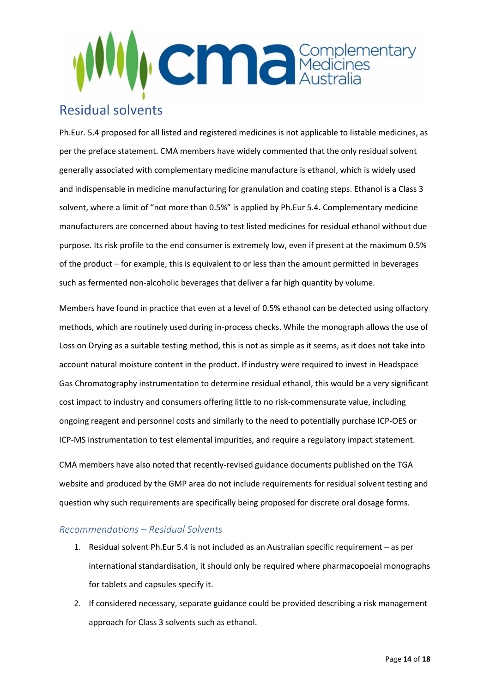

## <span id="page-13-0"></span>Residual solvents

Ph.Eur. 5.4 proposed for all listed and registered medicines is not applicable to listable medicines, as per the preface statement. CMA members have widely commented that the only residual solvent generally associated with complementary medicine manufacture is ethanol, which is widely used and indispensable in medicine manufacturing for granulation and coating steps. Ethanol is a Class 3 solvent, where a limit of "not more than 0.5%" is applied by Ph.Eur 5.4. Complementary medicine manufacturers are concerned about having to test listed medicines for residual ethanol without due purpose. Its risk profile to the end consumer is extremely low, even if present at the maximum 0.5% of the product – for example, this is equivalent to or less than the amount permitted in beverages such as fermented non-alcoholic beverages that deliver a far high quantity by volume.

Members have found in practice that even at a level of 0.5% ethanol can be detected using olfactory methods, which are routinely used during in-process checks. While the monograph allows the use of Loss on Drying as a suitable testing method, this is not as simple as it seems, as it does not take into account natural moisture content in the product. If industry were required to invest in Headspace Gas Chromatography instrumentation to determine residual ethanol, this would be a very significant cost impact to industry and consumers offering little to no risk-commensurate value, including ongoing reagent and personnel costs and similarly to the need to potentially purchase ICP-OES or ICP-MS instrumentation to test elemental impurities, and require a regulatory impact statement.

CMA members have also noted that recently-revised guidance documents published on the TGA website and produced by the GMP area do not include requirements for residual solvent testing and question why such requirements are specifically being proposed for discrete oral dosage forms.

### <span id="page-13-1"></span>*Recommendations – Residual Solvents*

- 1. Residual solvent Ph.Eur 5.4 is not included as an Australian specific requirement as per international standardisation, it should only be required where pharmacopoeial monographs for tablets and capsules specify it.
- 2. If considered necessary, separate guidance could be provided describing a risk management approach for Class 3 solvents such as ethanol.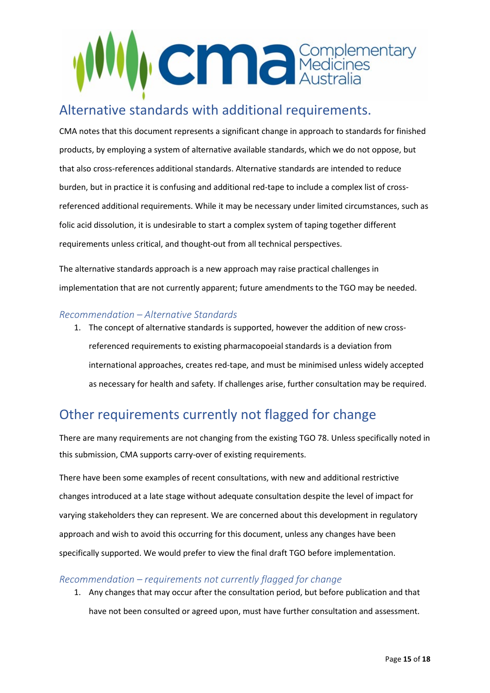

## <span id="page-14-0"></span>Alternative standards with additional requirements.

CMA notes that this document represents a significant change in approach to standards for finished products, by employing a system of alternative available standards, which we do not oppose, but that also cross-references additional standards. Alternative standards are intended to reduce burden, but in practice it is confusing and additional red-tape to include a complex list of crossreferenced additional requirements. While it may be necessary under limited circumstances, such as folic acid dissolution, it is undesirable to start a complex system of taping together different requirements unless critical, and thought-out from all technical perspectives.

The alternative standards approach is a new approach may raise practical challenges in implementation that are not currently apparent; future amendments to the TGO may be needed.

### <span id="page-14-1"></span>*Recommendation – Alternative Standards*

1. The concept of alternative standards is supported, however the addition of new crossreferenced requirements to existing pharmacopoeial standards is a deviation from international approaches, creates red-tape, and must be minimised unless widely accepted as necessary for health and safety. If challenges arise, further consultation may be required.

## <span id="page-14-2"></span>Other requirements currently not flagged for change

There are many requirements are not changing from the existing TGO 78. Unless specifically noted in this submission, CMA supports carry-over of existing requirements.

There have been some examples of recent consultations, with new and additional restrictive changes introduced at a late stage without adequate consultation despite the level of impact for varying stakeholders they can represent. We are concerned about this development in regulatory approach and wish to avoid this occurring for this document, unless any changes have been specifically supported. We would prefer to view the final draft TGO before implementation.

### <span id="page-14-3"></span>*Recommendation – requirements not currently flagged for change*

1. Any changes that may occur after the consultation period, but before publication and that have not been consulted or agreed upon, must have further consultation and assessment.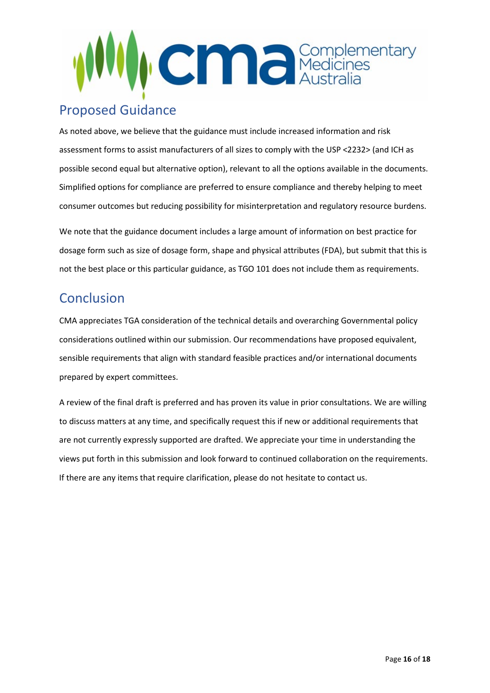

## <span id="page-15-0"></span>Proposed Guidance

As noted above, we believe that the guidance must include increased information and risk assessment forms to assist manufacturers of all sizes to comply with the USP <2232> (and ICH as possible second equal but alternative option), relevant to all the options available in the documents. Simplified options for compliance are preferred to ensure compliance and thereby helping to meet consumer outcomes but reducing possibility for misinterpretation and regulatory resource burdens.

We note that the guidance document includes a large amount of information on best practice for dosage form such as size of dosage form, shape and physical attributes (FDA), but submit that this is not the best place or this particular guidance, as TGO 101 does not include them as requirements.

## <span id="page-15-1"></span>**Conclusion**

CMA appreciates TGA consideration of the technical details and overarching Governmental policy considerations outlined within our submission. Our recommendations have proposed equivalent, sensible requirements that align with standard feasible practices and/or international documents prepared by expert committees.

A review of the final draft is preferred and has proven its value in prior consultations. We are willing to discuss matters at any time, and specifically request this if new or additional requirements that are not currently expressly supported are drafted. We appreciate your time in understanding the views put forth in this submission and look forward to continued collaboration on the requirements. If there are any items that require clarification, please do not hesitate to contact us.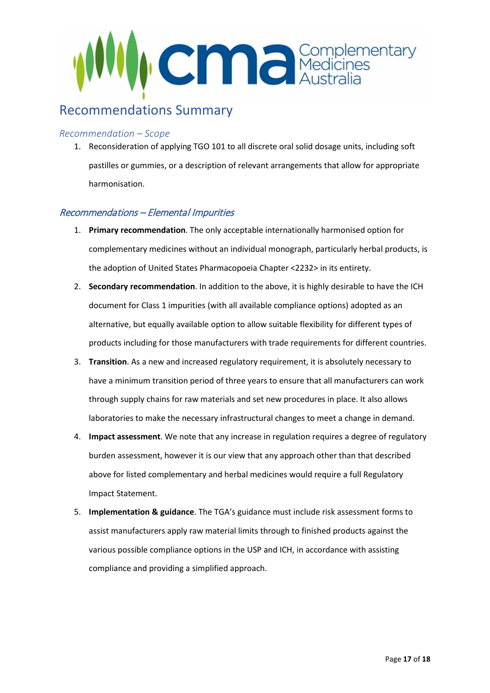

## <span id="page-16-0"></span>Recommendations Summary

#### *Recommendation – Scope*

1. Reconsideration of applying TGO 101 to all discrete oral solid dosage units, including soft pastilles or gummies, or a description of relevant arrangements that allow for appropriate harmonisation.

### Recommendations – Elemental Impurities

- 1. **Primary recommendation**. The only acceptable internationally harmonised option for complementary medicines without an individual monograph, particularly herbal products, is the adoption of United States Pharmacopoeia Chapter <2232> in its entirety.
- 2. **Secondary recommendation**. In addition to the above, it is highly desirable to have the ICH document for Class 1 impurities (with all available compliance options) adopted as an alternative, but equally available option to allow suitable flexibility for different types of products including for those manufacturers with trade requirements for different countries.
- 3. **Transition**. As a new and increased regulatory requirement, it is absolutely necessary to have a minimum transition period of three years to ensure that all manufacturers can work through supply chains for raw materials and set new procedures in place. It also allows laboratories to make the necessary infrastructural changes to meet a change in demand.
- 4. **Impact assessment**. We note that any increase in regulation requires a degree of regulatory burden assessment, however it is our view that any approach other than that described above for listed complementary and herbal medicines would require a full Regulatory Impact Statement.
- 5. **Implementation & guidance**. The TGA's guidance must include risk assessment forms to assist manufacturers apply raw material limits through to finished products against the various possible compliance options in the USP and ICH, in accordance with assisting compliance and providing a simplified approach.